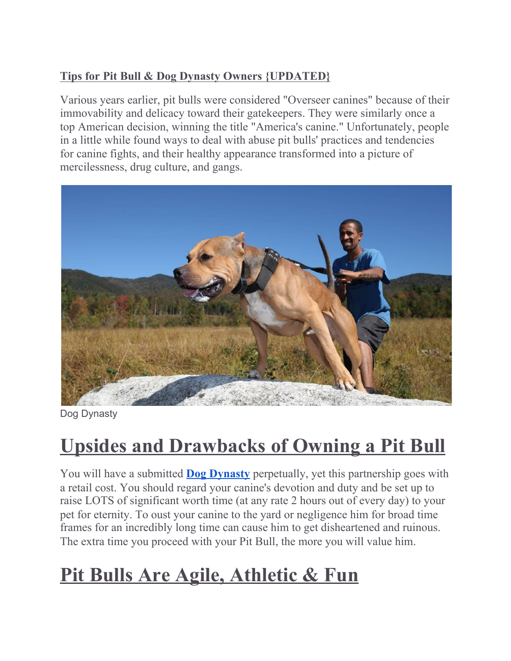## **Tips for Pit Bull & Dog Dynasty Owners {UPDATED}**

Various years earlier, pit bulls were considered "Overseer canines" because of their immovability and delicacy toward their gatekeepers. They were similarly once a top American decision, winning the title "America's canine." Unfortunately, people in a little while found ways to deal with abuse pit bulls' practices and tendencies for canine fights, and their healthy appearance transformed into a picture of mercilessness, drug culture, and gangs.



Dog Dynasty

## **Upsides and Drawbacks of Owning a Pit Bull**

You will have a submitted **[D](https://www.texassizebullies.com/blogs/news/barcroft-tvs-beast-buddies-dog-dynasty-american-bully-venom-featured)og [Dynasty](https://www.texassizebullies.com/blogs/news/barcroft-tvs-beast-buddies-dog-dynasty-american-bully-venom-featured)** perpetually, yet this partnership goes with a retail cost. You should regard your canine's devotion and duty and be set up to raise LOTS of significant worth time (at any rate 2 hours out of every day) to your pet for eternity. To oust your canine to the yard or negligence him for broad time frames for an incredibly long time can cause him to get disheartened and ruinous. The extra time you proceed with your Pit Bull, the more you will value him.

## **Pit Bulls Are Agile, Athletic & Fun**